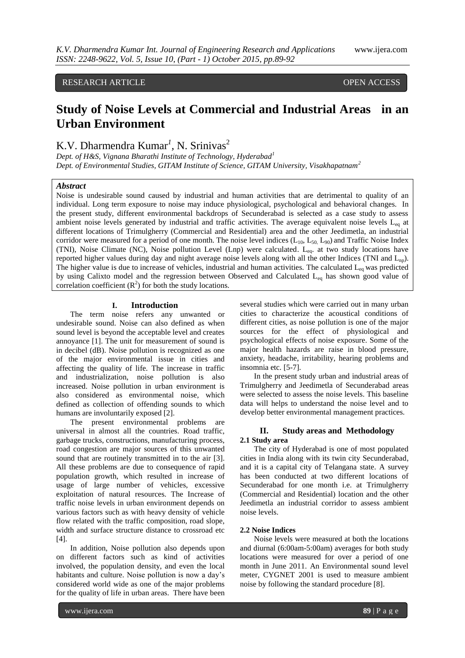## RESEARCH ARTICLE **CONSERVERS** OPEN ACCESS

# **Study of Noise Levels at Commercial and Industrial Areas in an Urban Environment**

## K.V. Dharmendra Kumar<sup>1</sup>, N. Srinivas<sup>2</sup>

*Dept. of H&S, Vignana Bharathi Institute of Technology, Hyderabad<sup>1</sup> Dept. of Environmental Studies, GITAM Institute of Science, GITAM University, Visakhapatnam<sup>2</sup>*

## *Abstract*

Noise is undesirable sound caused by industrial and human activities that are detrimental to quality of an individual. Long term exposure to noise may induce physiological, psychological and behavioral changes. In the present study, different environmental backdrops of Secunderabad is selected as a case study to assess ambient noise levels generated by industrial and traffic activities. The average equivalent noise levels  $L_{eq}$  at different locations of Trimulgherry (Commercial and Residential) area and the other Jeedimetla, an industrial corridor were measured for a period of one month. The noise level indices  $(L_{10}, L_{50}, L_{90})$  and Traffic Noise Index (TNI), Noise Climate (NC), Noise pollution Level (Lnp) were calculated. Leq. at two study locations have reported higher values during day and night average noise levels along with all the other Indices (TNI and  $L_{np}$ ). The higher value is due to increase of vehicles, industrial and human activities. The calculated  $L_{eq}$  was predicted by using Calixto model and the regression between Observed and Calculated L<sub>eq</sub> has shown good value of correlation coefficient  $(R^2)$  for both the study locations.

## **I. Introduction**

The term noise refers any unwanted or undesirable sound. Noise can also defined as when sound level is beyond the acceptable level and creates annoyance [1]. The unit for measurement of sound is in decibel (dB). Noise pollution is recognized as one of the major environmental issue in cities and affecting the quality of life. The increase in traffic and industrialization, noise pollution is also increased. Noise pollution in urban environment is also considered as environmental noise, which defined as collection of offending sounds to which humans are involuntarily exposed [2].

The present environmental problems are universal in almost all the countries. Road traffic, garbage trucks, constructions, manufacturing process, road congestion are major sources of this unwanted sound that are routinely transmitted in to the air [3]. All these problems are due to consequence of rapid population growth, which resulted in increase of usage of large number of vehicles, excessive exploitation of natural resources. The Increase of traffic noise levels in urban environment depends on various factors such as with heavy density of vehicle flow related with the traffic composition, road slope, width and surface structure distance to crossroad etc [4].

In addition, Noise pollution also depends upon on different factors such as kind of activities involved, the population density, and even the local habitants and culture. Noise pollution is now a day's considered world wide as one of the major problems for the quality of life in urban areas. There have been

several studies which were carried out in many urban cities to characterize the acoustical conditions of different cities, as noise pollution is one of the major sources for the effect of physiological and psychological effects of noise exposure. Some of the major health hazards are raise in blood pressure, anxiety, headache, irritability, hearing problems and insomnia etc. [5-7].

In the present study urban and industrial areas of Trimulgherry and Jeedimetla of Secunderabad areas were selected to assess the noise levels. This baseline data will helps to understand the noise level and to develop better environmental management practices.

## **II. Study areas and Methodology 2.1 Study area**

The city of Hyderabad is one of most populated cities in India along with its twin city Secunderabad, and it is a capital city of Telangana state. A survey has been conducted at two different locations of Secunderabad for one month i.e. at Trimulgherry (Commercial and Residential) location and the other Jeedimetla an industrial corridor to assess ambient noise levels.

### **2.2 Noise Indices**

Noise levels were measured at both the locations and diurnal (6:00am-5:00am) averages for both study locations were measured for over a period of one month in June 2011. An Environmental sound level meter, CYGNET 2001 is used to measure ambient noise by following the standard procedure [8].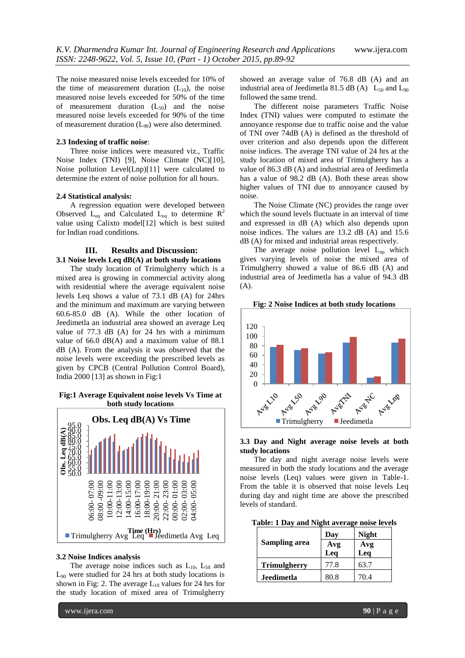The noise measured noise levels exceeded for 10% of the time of measurement duration  $(L_{10})$ , the noise measured noise levels exceeded for 50% of the time of measurement duration  $(L_{50})$  and the noise measured noise levels exceeded for 90% of the time of measurement duration  $(L_{90})$  were also determined.

### **2.3 Indexing of traffic noise**:

Three noise indices were measured viz., Traffic Noise Index (TNI) [9], Noise Climate (NC)[10], Noise pollution Level(Lnp)[11] were calculated to determine the extent of noise pollution for all hours.

#### **2.4 Statistical analysis:**

A regression equation were developed between Observed  $L_{eq}$  and Calculated  $L_{eq}$  to determine  $R^2$ value using Calixto model[12] which is best suited for Indian road conditions.

## **III. Results and Discussion: 3.1 Noise levels Leq dB(A) at both study locations**

The study location of Trimulgherry which is a mixed area is growing in commercial activity along with residential where the average equivalent noise levels Leq shows a value of 73.1 dB (A) for 24hrs and the minimum and maximum are varying between 60.6-85.0 dB (A). While the other location of Jeedimetla an industrial area showed an average Leq value of 77.3 dB (A) for 24 hrs with a minimum value of 66.0 dB(A) and a maximum value of 88.1 dB (A). From the analysis it was observed that the noise levels were exceeding the prescribed levels as given by CPCB (Central Pollution Control Board), India 2000 [13] as shown in Fig:1

## **Fig:1 Average Equivalent noise levels Vs Time at both study locations**



#### **3.2 Noise Indices analysis**

The average noise indices such as  $L_{10}$ ,  $L_{50}$  and  $L_{90}$  were studied for 24 hrs at both study locations is shown in Fig: 2. The average  $L_{10}$  values for 24 hrs for the study location of mixed area of Trimulgherry showed an average value of 76.8 dB (A) and an industrial area of Jeedimetla 81.5 dB (A)  $L_{50}$  and  $L_{90}$ followed the same trend.

The different noise parameters Traffic Noise Index (TNI) values were computed to estimate the annoyance response due to traffic noise and the value of TNI over 74dB (A) is defined as the threshold of over criterion and also depends upon the different noise indices. The average TNI value of 24 hrs at the study location of mixed area of Trimulgherry has a value of 86.3 dB (A) and industrial area of Jeedimetla has a value of 98.2 dB (A). Both these areas show higher values of TNI due to annoyance caused by noise.

The Noise Climate (NC) provides the range over which the sound levels fluctuate in an interval of time and expressed in dB (A) which also depends upon noise indices. The values are 13.2 dB (A) and 15.6 dB (A) for mixed and industrial areas respectively.

The average noise pollution level  $L_{np}$  which gives varying levels of noise the mixed area of Trimulgherry showed a value of 86.6 dB (A) and industrial area of Jeedimetla has a value of 94.3 dB (A).

**Fig: 2 Noise Indices at both study locations**



## **3.3 Day and Night average noise levels at both study locations**

The day and night average noise levels were measured in both the study locations and the average noise levels (Leq) values were given in Table-1. From the table it is observed that noise levels Leq during day and night time are above the prescribed levels of standard.

**Table: 1 Day and Night average noise levels**

| <b>Sampling area</b> | Day  | <b>Night</b> |
|----------------------|------|--------------|
|                      | Avg  | Avg          |
|                      | Leq  | Leq          |
| <b>Trimulgherry</b>  | 77.8 | 63.7         |
| <b>Jeedimetla</b>    | 80.8 | 70.4         |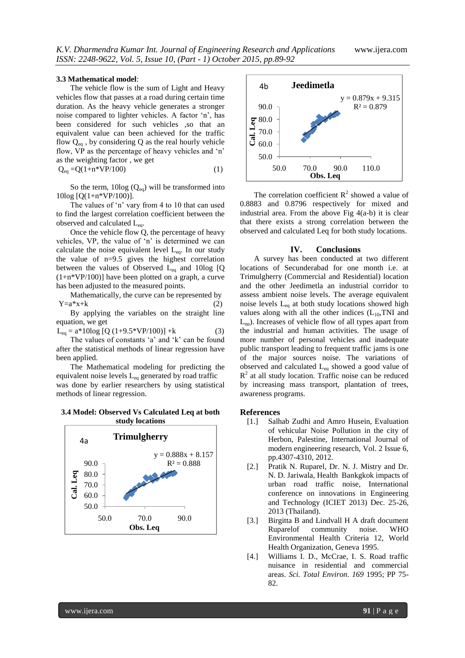#### **3.3 Mathematical model**:

The vehicle flow is the sum of Light and Heavy vehicles flow that passes at a road during certain time duration. As the heavy vehicle generates a stronger noise compared to lighter vehicles. A factor "n", has been considered for such vehicles ,so that an equivalent value can been achieved for the traffic flow  $Q_{eq}$ , by considering Q as the real hourly vehicle flow, VP as the percentage of heavy vehicles and 'n' as the weighting factor , we get  $Q_{eq} = Q(1+n*VP/100)$  (1)

So the term,  $10\log$  ( $Q_{eq}$ ) will be transformed into

10log [Q(1+n\*VP/100)]. The values of 'n' vary from 4 to 10 that can used to find the largest correlation coefficient between the observed and calculated L<sub>eq</sub>.

Once the vehicle flow Q, the percentage of heavy vehicles, VP, the value of 'n' is determined we can calculate the noise equivalent level  $L_{eq}$ . In our study the value of n=9.5 gives the highest correlation between the values of Observed Leq and 10log [Q (1+n\*VP/100)] have been plotted on a graph, a curve has been adjusted to the measured points.

Mathematically, the curve can be represented by  $Y=a*x+k$  (2)

By applying the variables on the straight line equation, we get

 $L_{eq} = a*10log [Q (1+9.5*VP/100)] + k$  (3)

The values of constants 'a' and 'k' can be found after the statistical methods of linear regression have been applied.

The Mathematical modeling for predicting the equivalent noise levels  $L_{eq}$  generated by road traffic was done by earlier researchers by using statistical methods of linear regression.

**3.4 Model: Observed Vs Calculated Leq at both study locations**





The correlation coefficient  $R^2$  showed a value of 0.8883 and 0.8796 respectively for mixed and industrial area. From the above Fig  $4(a-b)$  it is clear that there exists a strong correlation between the observed and calculated Leq for both study locations.

#### **IV. Conclusions**

A survey has been conducted at two different locations of Secunderabad for one month i.e. at Trimulgherry (Commercial and Residential) location and the other Jeedimetla an industrial corridor to assess ambient noise levels. The average equivalent noise levels  $L_{eq}$  at both study locations showed high values along with all the other indices  $(L_{10}, TNI)$  and  $L_{nn}$ ). Increases of vehicle flow of all types apart from the industrial and human activities. The usage of more number of personal vehicles and inadequate public transport leading to frequent traffic jams is one of the major sources noise. The variations of observed and calculated Leq showed a good value of  $R<sup>2</sup>$  at all study location. Traffic noise can be reduced by increasing mass transport, plantation of trees, awareness programs.

#### **References**

- [1.] Salhab Zudhi and Amro Husein, Evaluation of vehicular Noise Pollution in the city of Herbon, Palestine, International Journal of modern engineering research, Vol. 2 Issue 6, pp.4307-4310, 2012.
- [2.] Pratik N. Ruparel, Dr. N. J. Mistry and Dr. N. D. Jariwala, Health Bankgkok impacts of urban road traffic noise, International conference on innovations in Engineering and Technology (ICIET 2013) Dec. 25-26, 2013 (Thailand).
- [3.] Birgitta B and Lindvall H A draft document Ruparelof community noise. WHO Environmental Health Criteria 12, World Health Organization, Geneva 1995.
- [4.] Williams I. D., McCrae, I. S. Road traffic nuisance in residential and commercial areas. *Sci. Total Environ*. *169* 1995; PP 75- 82.